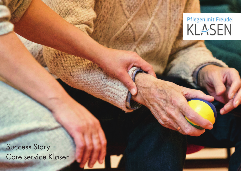# Pflegen mit Freude

Success Story Care service Klasen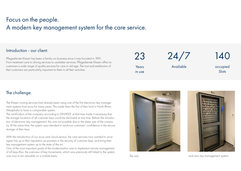## Focus on the people. A modern key management system for the care service.

#### Introduction - our client:

Pflegedienste Klasen has been a family-run business since it was founded in 1991. From treatment care to driving services to caretaker services, Pflegedienste Klasen offers its customers a wide range of quality services for care in old age. The trust and satisfaction of their customers are particularly important to them in all their activities.

23 Years

in use

24/7

Available

140

occupied **Slots** 

## The challenge:

The Klasen nursing services had already been using one of the first electronic key management systems from ecos for many years. This made them the first of their kind in North Rhine-Westphalia to have a comparable system.

The certification of the company according to DIN9001 at that time made it necessary that the storage locations of all customer keys could be disclosed at any time. Before the introduction of electronic key management, this was not possible due to the sheer size of the company. At the same time, the system was intended to reinforce customers' confidence in the secure storage of their keys.

With the introduction of our ecos care cloud service, the care services now wanted to once again live up to their reputation as pioneers in the security of customer keys, and bring their key management system up to the state of the art.

One of the most important goals of the modernisation was to implement remote management of all keys.Also, the overview of key movements, which was previously still linked to the system, was now to be viewable on a mobile basis. The old... The old... The old... The old... and new key management system.



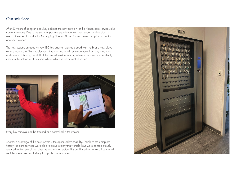## Our solution:

After 23 years of using an ecos key cabinet, the new solution for the Klasen care services also came from ecos. Due to the years of positive experience with our support and services, as well as the overall quality, for Managing Director Klasen it was "never an option to contact another provider".

The new system, an ecos xm key 180 key cabinet, was equipped with the brand new cloud service ecos care. This enables real-time tracking of all key movements from any electronic end device. This way, the staff of the on-call service, among others, can now independently check in the software at any time where which key is currently located.



Every key removal can be tracked and controlled in the system.

Another advantage of the new system is the optimised traceability. Thanks to the complete history, the care services were able to prove exactly that vehicle keys were conscientiously returned to the key cabinet after the end of the service. This confirmed to the tax office that all vehicles were used exclusively in a professional context.